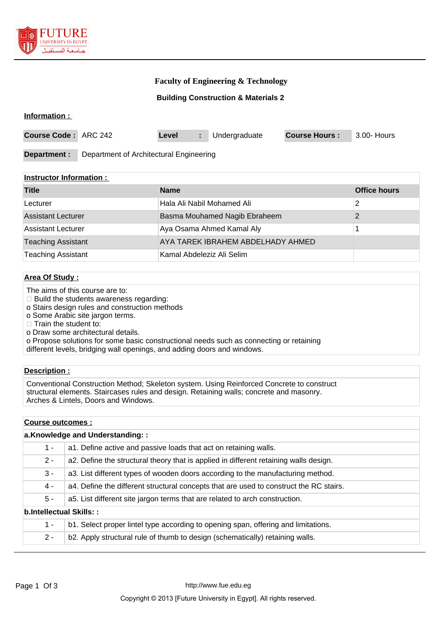

# **Faculty of Engineering & Technology**

### **Building Construction & Materials 2**

### **Information :**

| <b>Course Code: ARC 242</b> |                                         | Level |  | Undergraduate | <b>Course Hours:</b> | 3.00- Hours |
|-----------------------------|-----------------------------------------|-------|--|---------------|----------------------|-------------|
| Department:                 | Department of Architectural Engineering |       |  |               |                      |             |

### **Instructor Information :**

| <b>Title</b>              | <b>Name</b>                       | <b>Office hours</b> |
|---------------------------|-----------------------------------|---------------------|
| Lecturer                  | Hala Ali Nabil Mohamed Ali        |                     |
| <b>Assistant Lecturer</b> | Basma Mouhamed Nagib Ebraheem     |                     |
| Assistant Lecturer        | Aya Osama Ahmed Kamal Aly         |                     |
| <b>Teaching Assistant</b> | AYA TAREK IBRAHEM ABDELHADY AHMED |                     |
| <b>Teaching Assistant</b> | Kamal Abdeleziz Ali Selim         |                     |

## **Area Of Study :**

- The aims of this course are to:
- □ Build the students awareness regarding:
- o Stairs design rules and construction methods
- o Some Arabic site jargon terms.
- $\Box$  Train the student to:
- o Draw some architectural details.
- o Propose solutions for some basic constructional needs such as connecting or retaining different levels, bridging wall openings, and adding doors and windows.

### **Description :**

Conventional Construction Method; Skeleton system. Using Reinforced Concrete to construct structural elements. Staircases rules and design. Retaining walls; concrete and masonry. Arches & Lintels, Doors and Windows.

### **Course outcomes :**

| a.Knowledge and Understanding:: |                                                                                        |  |
|---------------------------------|----------------------------------------------------------------------------------------|--|
| $1 -$                           | a1. Define active and passive loads that act on retaining walls.                       |  |
| $2 -$                           | a2. Define the structural theory that is applied in different retaining walls design.  |  |
| $3 -$                           | a3. List different types of wooden doors according to the manufacturing method.        |  |
| $4 -$                           | a4. Define the different structural concepts that are used to construct the RC stairs. |  |
| $5 -$                           | a5. List different site jargon terms that are related to arch construction.            |  |
| b.Intellectual Skills::         |                                                                                        |  |
| 1 -                             | b1. Select proper lintel type according to opening span, offering and limitations.     |  |
| $2 -$                           | b2. Apply structural rule of thumb to design (schematically) retaining walls.          |  |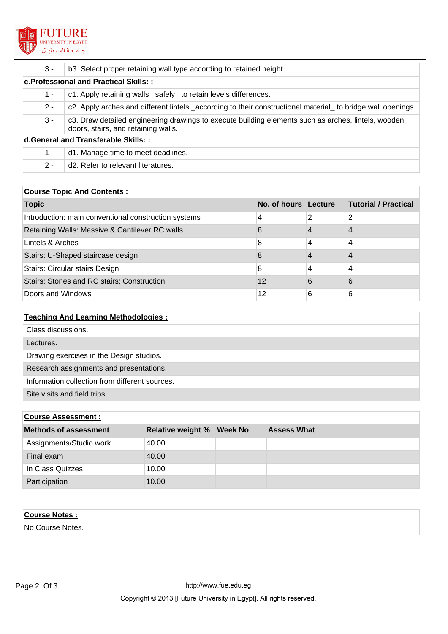

| $3 -$ | b3. Select proper retaining wall type according to retained height.                                                                        |
|-------|--------------------------------------------------------------------------------------------------------------------------------------------|
|       | c. Professional and Practical Skills::                                                                                                     |
| 1 -   | c1. Apply retaining walls _safely_ to retain levels differences.                                                                           |
| $2 -$ | c2. Apply arches and different lintels _according to their constructional material_ to bridge wall openings.                               |
| $3 -$ | c3. Draw detailed engineering drawings to execute building elements such as arches, lintels, wooden<br>doors, stairs, and retaining walls. |
|       | d.General and Transferable Skills::                                                                                                        |
| 1 -   | d1. Manage time to meet deadlines.                                                                                                         |
| $2 -$ | d <sub>2</sub> . Refer to relevant literatures.                                                                                            |

# **Course Topic And Contents :**

| <b>Topic</b>                                         | No. of hours Lecture |   | <b>Tutorial / Practical</b> |
|------------------------------------------------------|----------------------|---|-----------------------------|
| Introduction: main conventional construction systems | 4                    | 2 | 2                           |
| Retaining Walls: Massive & Cantilever RC walls       | 8                    |   |                             |
| Lintels & Arches                                     | 8                    | 4 | 4                           |
| Stairs: U-Shaped staircase design                    | 8                    |   | 4                           |
| Stairs: Circular stairs Design                       | 8                    | 4 | 4                           |
| Stairs: Stones and RC stairs: Construction           | 12                   | 6 | 6                           |
| Doors and Windows                                    | 12                   | 6 | 6                           |

# **Teaching And Learning Methodologies :**

| Class discussions.                             |
|------------------------------------------------|
| Lectures.                                      |
| Drawing exercises in the Design studios.       |
| Research assignments and presentations.        |
| Information collection from different sources. |
| Site visits and field trips.                   |

# **Course Assessment :**

| <b>Methods of assessment</b> | <b>Relative weight % Week No</b> | <b>Assess What</b> |
|------------------------------|----------------------------------|--------------------|
| Assignments/Studio work      | 40.00                            |                    |
| Final exam                   | 40.00                            |                    |
| In Class Quizzes             | 10.00                            |                    |
| Participation                | 10.00                            |                    |

| <b>Course Notes:</b> |  |
|----------------------|--|
| No Course Notes.     |  |
|                      |  |